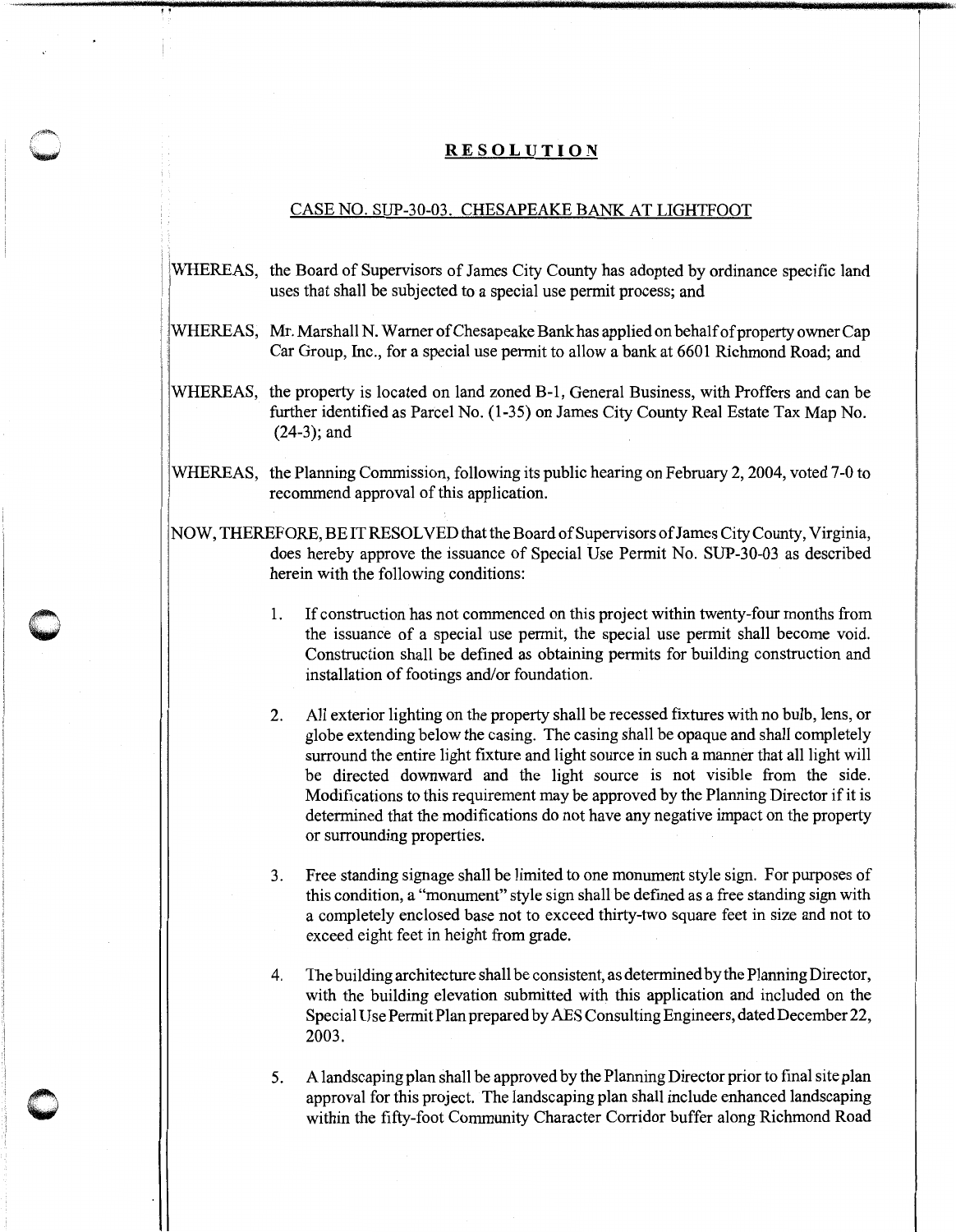## **RESOLUTION**

## CASE NO. SUP-30-03. CHESAPEAKE BANK AT LIGHTFOOT

- i: ' iWHEREAS, the Board of Supervisors of James City County has adopted by ordinance specific land uses that shall be subjected to a special use permit process; and
- WHEREAS, Mr. Marshall N. Warner of Chesapeake Bank has applied on behalf of property owner Cap ! Car Group, Inc., for a special use permit to allow a bank at 6601 Richmond Road; and
- WHEREAS, the property is located on land zoned B-1, General Business, with Proffers and can be further identified as Parcel No. (1-35) on James City County Real Estate Tax Map No. (24-3); and
- WHEREAS, the Planning Commission, following its public hearing on February 2, 2004, voted 7-0 to recommend approval of this application.
- NOW, THEREFORE, BE IT RESOLVED that the Board of Supervisors of James City County, Virginia, does hereby approve the issuance of Special Use Permit No. SUP-30-03 as described herein with the following conditions:

**0** 

'.

- 1. If construction has not commenced on this project within twenty-four months from the issuance of a special use permit, the special use permit shall become void. Construction shall be defined as obtaining permits for building construction and installation of footings and/or foundation.
- 2. All exterior lighting on the property shall be recessed fixtures with no bulb, lens, or globe extending below the casing. The casing shall be opaque and shall completely surround the entire light fixture and light source in such a manner that all light will be directed downward and the light source is not visible from the side. Modifications to this requirement may be approved by the Planning Director if it is determined that the modifications do not have any negative impact on the property or surrounding properties.
- 3. Free standing signage shall be limited to one monument style sign. For purposes of this condition, a "monument" style sign shall be defined as a free standing sign with a completely enclosed base not to exceed thirty-two square feet in size and not to exceed eight feet in height from grade.
- 4. The building architecture shall be consistent, as determined by the Planning Director, with the building elevation submitted with this application and included on the Special Use Permit Plan prepared by AES Consulting Engineers, dated December 22, 2003.
- 5. A landscaping plan shall be approved by the Planning Director prior to final site plan approval for this project. The landscaping plan shall include enhanced landscaping within the fifty-foot Community Character Corridor buffer along Richmond Road